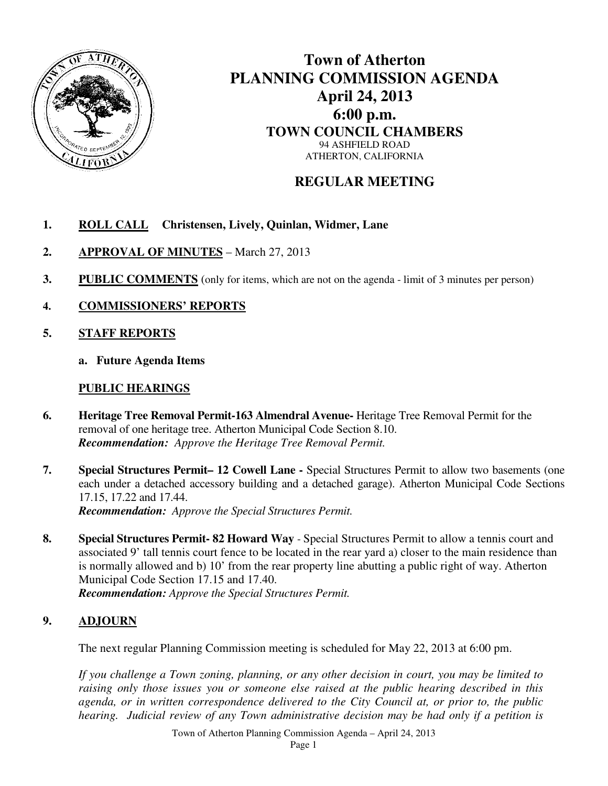

## **Town of Atherton PLANNING COMMISSION AGENDA April 24, 2013 6:00 p.m. TOWN COUNCIL CHAMBERS**  94 ASHFIELD ROAD ATHERTON, CALIFORNIA

## **REGULAR MEETING**

- **1. ROLL CALL Christensen, Lively, Quinlan, Widmer, Lane**
- **2. APPROVAL OF MINUTES** March 27, 2013
- **3.** PUBLIC COMMENTS (only for items, which are not on the agenda limit of 3 minutes per person)
- **4. COMMISSIONERS' REPORTS**
- **5. STAFF REPORTS**
	- **a. Future Agenda Items**

## **PUBLIC HEARINGS**

- **6. Heritage Tree Removal Permit-163 Almendral Avenue-** Heritage Tree Removal Permit for the removal of one heritage tree. Atherton Municipal Code Section 8.10. *Recommendation: Approve the Heritage Tree Removal Permit.*
- **7. Special Structures Permit– 12 Cowell Lane** Special Structures Permit to allow two basements (one each under a detached accessory building and a detached garage). Atherton Municipal Code Sections 17.15, 17.22 and 17.44. *Recommendation: Approve the Special Structures Permit.*
- **8. Special Structures Permit- 82 Howard Way** Special Structures Permit to allow a tennis court and associated 9' tall tennis court fence to be located in the rear yard a) closer to the main residence than is normally allowed and b) 10' from the rear property line abutting a public right of way. Atherton Municipal Code Section 17.15 and 17.40. *Recommendation: Approve the Special Structures Permit.*

## **9. ADJOURN**

The next regular Planning Commission meeting is scheduled for May 22, 2013 at 6:00 pm.

*If you challenge a Town zoning, planning, or any other decision in court, you may be limited to raising only those issues you or someone else raised at the public hearing described in this agenda, or in written correspondence delivered to the City Council at, or prior to, the public hearing. Judicial review of any Town administrative decision may be had only if a petition is*